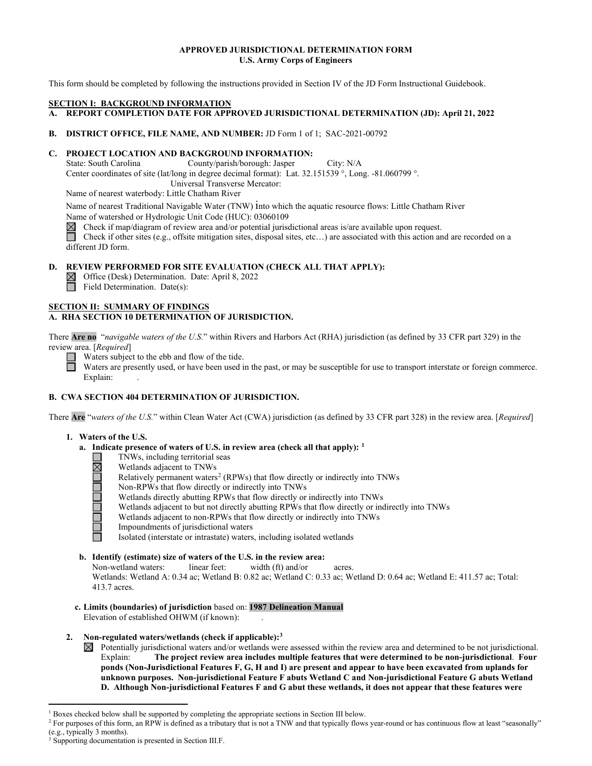## **APPROVED JURISDICTIONAL DETERMINATION FORM U.S. Army Corps of Engineers**

This form should be completed by following the instructions provided in Section IV of the JD Form Instructional Guidebook.

## **SECTION I: BACKGROUND INFORMATION**

**A. REPORT COMPLETION DATE FOR APPROVED JURISDICTIONAL DETERMINATION (JD): April 21, 2022** 

**B. DISTRICT OFFICE, FILE NAME, AND NUMBER:** JD Form 1 of 1; SAC-2021-00792

# **C. PROJECT LOCATION AND BACKGROUND INFORMATION:**

State: South Carolina County/parish/borough: Jasper City: N/A Center coordinates of site (lat/long in degree decimal format): Lat. 32.151539 °, Long. -81.060799 °.

Universal Transverse Mercator:

Name of nearest waterbody: Little Chatham River

Name of nearest Traditional Navigable Water (TNW) into which the aquatic resource flows: Little Chatham River Name of watershed or Hydrologic Unit Code (HUC): 03060109

Check if map/diagram of review area and/or potential jurisdictional areas is/are available upon request.

Check if other sites (e.g., offsite mitigation sites, disposal sites, etc…) are associated with this action and are recorded on a different JD form.

# **D. REVIEW PERFORMED FOR SITE EVALUATION (CHECK ALL THAT APPLY):**

Office (Desk) Determination. Date: April 8, 2022 Field Determination. Date(s):

# **SECTION II: SUMMARY OF FINDINGS**

# **A. RHA SECTION 10 DETERMINATION OF JURISDICTION.**

There **Are no** "*navigable waters of the U.S.*" within Rivers and Harbors Act (RHA) jurisdiction (as defined by 33 CFR part 329) in the review area. [*Required*]

Waters subject to the ebb and flow of the tide.

Waters are presently used, or have been used in the past, or may be susceptible for use to transport interstate or foreign commerce. Explain:

# **B. CWA SECTION 404 DETERMINATION OF JURISDICTION.**

There **Are** "*waters of the U.S.*" within Clean Water Act (CWA) jurisdiction (as defined by 33 CFR part 328) in the review area. [*Required*]

# **1. Waters of the U.S.**

- **a. Indicate presence of waters of U.S. in review area (check all that apply): [1](#page-0-0)**
	-
	- Wetlands adjacent to TNWs
	- TNWs, including territorial seas<br>
	Wetlands adjacent to TNWs<br>
	Relatively permanent waters<sup>2</sup> (R<br>
	Non-RPWs that flow directly or<br>
	Wetlands directly abutting RPW<br>
	Wetlands adjacent to but not dir<br>
	Wetlands adjacent to non-RPW Relatively permanent waters<sup>2</sup> (RPWs) that flow directly or indirectly into TNWs
		- Non-RPWs that flow directly or indirectly into TNWs
		- Wetlands directly abutting RPWs that flow directly or indirectly into TNWs
		- Wetlands adjacent to but not directly abutting RPWs that flow directly or indirectly into TNWs
		- Wetlands adjacent to non-RPWs that flow directly or indirectly into TNWs
		- Impoundments of jurisdictional waters

Isolated (interstate or intrastate) waters, including isolated wetlands

# **b. Identify (estimate) size of waters of the U.S. in the review area:**

Non-wetland waters: linear feet: width (ft) and/or acres.

 Wetlands: Wetland A: 0.34 ac; Wetland B: 0.82 ac; Wetland C: 0.33 ac; Wetland D: 0.64 ac; Wetland E: 411.57 ac; Total: 413.7 acres.

 **c. Limits (boundaries) of jurisdiction** based on: **1987 Delineation Manual** Elevation of established OHWM (if known):

# **2. Non-regulated waters/wetlands (check if applicable)[:3](#page-0-2)**

 $\boxtimes$  Potentially jurisdictional waters and/or wetlands were assessed within the review area and determined to be not jurisdictional. Explain: **The project review area includes multiple features that were determined to be non-jurisdictional**. **Four ponds (Non-Jurisdictional Features F, G, H and I) are present and appear to have been excavated from uplands for unknown purposes. Non-jurisdictional Feature F abuts Wetland C and Non-jurisdictional Feature G abuts Wetland D. Although Non-jurisdictional Features F and G abut these wetlands, it does not appear that these features were** 

<sup>&</sup>lt;sup>1</sup> Boxes checked below shall be supported by completing the appropriate sections in Section III below.

<span id="page-0-1"></span><span id="page-0-0"></span><sup>&</sup>lt;sup>2</sup> For purposes of this form, an RPW is defined as a tributary that is not a TNW and that typically flows year-round or has continuous flow at least "seasonally" (e.g., typically 3 months).

<span id="page-0-2"></span>Supporting documentation is presented in Section III.F.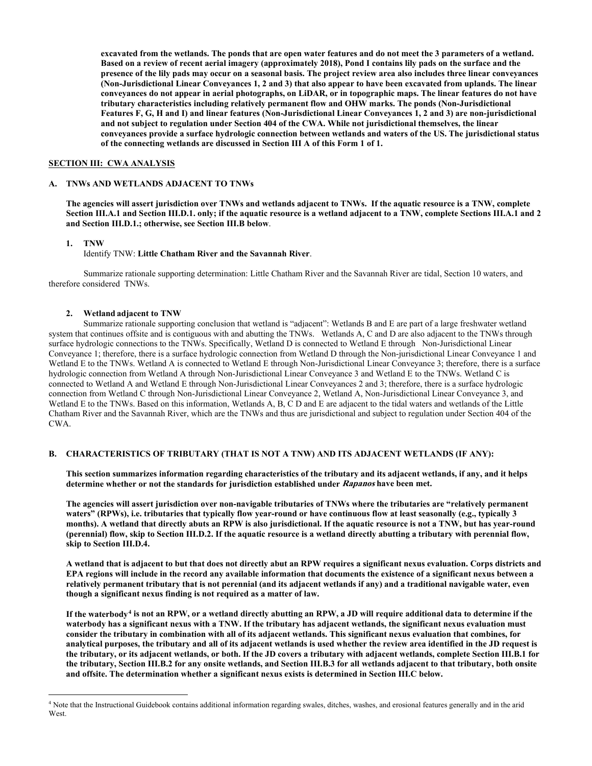**excavated from the wetlands. The ponds that are open water features and do not meet the 3 parameters of a wetland. Based on a review of recent aerial imagery (approximately 2018), Pond I contains lily pads on the surface and the presence of the lily pads may occur on a seasonal basis. The project review area also includes three linear conveyances (Non-Jurisdictional Linear Conveyances 1, 2 and 3) that also appear to have been excavated from uplands. The linear conveyances do not appear in aerial photographs, on LiDAR, or in topographic maps. The linear features do not have tributary characteristics including relatively permanent flow and OHW marks. The ponds (Non-Jurisdictional Features F, G, H and I) and linear features (Non-Jurisdictional Linear Conveyances 1, 2 and 3) are non-jurisdictional and not subject to regulation under Section 404 of the CWA. While not jurisdictional themselves, the linear conveyances provide a surface hydrologic connection between wetlands and waters of the US. The jurisdictional status of the connecting wetlands are discussed in Section III A of this Form 1 of 1.**

#### **SECTION III: CWA ANALYSIS**

#### **A. TNWs AND WETLANDS ADJACENT TO TNWs**

**The agencies will assert jurisdiction over TNWs and wetlands adjacent to TNWs. If the aquatic resource is a TNW, complete Section III.A.1 and Section III.D.1. only; if the aquatic resource is a wetland adjacent to a TNW, complete Sections III.A.1 and 2 and Section III.D.1.; otherwise, see Section III.B below**.

 **1. TNW** 

Identify TNW: **Little Chatham River and the Savannah River**.

Summarize rationale supporting determination: Little Chatham River and the Savannah River are tidal, Section 10 waters, and therefore considered TNWs.

#### **2. Wetland adjacent to TNW**

Summarize rationale supporting conclusion that wetland is "adjacent": Wetlands B and E are part of a large freshwater wetland system that continues offsite and is contiguous with and abutting the TNWs. Wetlands A, C and D are also adjacent to the TNWs through surface hydrologic connections to the TNWs. Specifically, Wetland D is connected to Wetland E through Non-Jurisdictional Linear Conveyance 1; therefore, there is a surface hydrologic connection from Wetland D through the Non-jurisdictional Linear Conveyance 1 and Wetland E to the TNWs. Wetland A is connected to Wetland E through Non-Jurisdictional Linear Conveyance 3; therefore, there is a surface hydrologic connection from Wetland A through Non-Jurisdictional Linear Conveyance 3 and Wetland E to the TNWs. Wetland C is connected to Wetland A and Wetland E through Non-Jurisdictional Linear Conveyances 2 and 3; therefore, there is a surface hydrologic connection from Wetland C through Non-Jurisdictional Linear Conveyance 2, Wetland A, Non-Jurisdictional Linear Conveyance 3, and Wetland E to the TNWs. Based on this information, Wetlands A, B, C D and E are adjacent to the tidal waters and wetlands of the Little Chatham River and the Savannah River, which are the TNWs and thus are jurisdictional and subject to regulation under Section 404 of the CWA.

## **B. CHARACTERISTICS OF TRIBUTARY (THAT IS NOT A TNW) AND ITS ADJACENT WETLANDS (IF ANY):**

 **This section summarizes information regarding characteristics of the tributary and its adjacent wetlands, if any, and it helps determine whether or not the standards for jurisdiction established under Rapanos have been met.** 

 **The agencies will assert jurisdiction over non-navigable tributaries of TNWs where the tributaries are "relatively permanent waters" (RPWs), i.e. tributaries that typically flow year-round or have continuous flow at least seasonally (e.g., typically 3 months). A wetland that directly abuts an RPW is also jurisdictional. If the aquatic resource is not a TNW, but has year-round (perennial) flow, skip to Section III.D.2. If the aquatic resource is a wetland directly abutting a tributary with perennial flow, skip to Section III.D.4.** 

**A wetland that is adjacent to but that does not directly abut an RPW requires a significant nexus evaluation. Corps districts and EPA regions will include in the record any available information that documents the existence of a significant nexus between a relatively permanent tributary that is not perennial (and its adjacent wetlands if any) and a traditional navigable water, even though a significant nexus finding is not required as a matter of law.** 

**If the waterbody[4](#page-1-0) is not an RPW, or a wetland directly abutting an RPW, a JD will require additional data to determine if the waterbody has a significant nexus with a TNW. If the tributary has adjacent wetlands, the significant nexus evaluation must consider the tributary in combination with all of its adjacent wetlands. This significant nexus evaluation that combines, for analytical purposes, the tributary and all of its adjacent wetlands is used whether the review area identified in the JD request is the tributary, or its adjacent wetlands, or both. If the JD covers a tributary with adjacent wetlands, complete Section III.B.1 for the tributary, Section III.B.2 for any onsite wetlands, and Section III.B.3 for all wetlands adjacent to that tributary, both onsite and offsite. The determination whether a significant nexus exists is determined in Section III.C below.** 

<span id="page-1-0"></span><sup>4</sup> Note that the Instructional Guidebook contains additional information regarding swales, ditches, washes, and erosional features generally and in the arid **West**.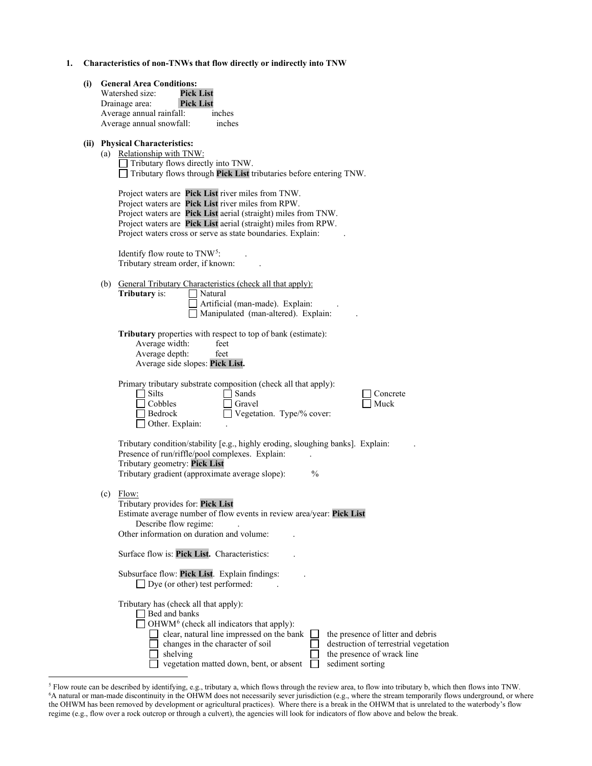|  | Characteristics of non-TNWs that flow directly or indirectly into TNW |
|--|-----------------------------------------------------------------------|
|  |                                                                       |

| (i) | <b>General Area Conditions:</b><br><b>Pick List</b><br>Watershed size:<br>Drainage area:<br><b>Pick List</b><br>Average annual rainfall:<br>inches<br>Average annual snowfall:<br>inches                                                                                                                                                                                               |
|-----|----------------------------------------------------------------------------------------------------------------------------------------------------------------------------------------------------------------------------------------------------------------------------------------------------------------------------------------------------------------------------------------|
|     | (ii) Physical Characteristics:<br>(a) Relationship with TNW:<br>Tributary flows directly into TNW.<br>$\Box$ Tributary flows through Pick List tributaries before entering TNW.                                                                                                                                                                                                        |
|     | Project waters are Pick List river miles from TNW.<br>Project waters are Pick List river miles from RPW.<br>Project waters are Pick List aerial (straight) miles from TNW.<br>Project waters are Pick List aerial (straight) miles from RPW.<br>Project waters cross or serve as state boundaries. Explain:                                                                            |
|     | Identify flow route to TNW <sup>5</sup> :<br>Tributary stream order, if known:                                                                                                                                                                                                                                                                                                         |
|     | (b) General Tributary Characteristics (check all that apply):<br>Tributary is:<br>Natural<br>Artificial (man-made). Explain:<br>Manipulated (man-altered). Explain:                                                                                                                                                                                                                    |
|     | Tributary properties with respect to top of bank (estimate):<br>Average width:<br>feet<br>Average depth:<br>feet<br>Average side slopes: Pick List.                                                                                                                                                                                                                                    |
|     | Primary tributary substrate composition (check all that apply):<br>Silts<br>Sands<br>Concrete<br>Cobbles<br>Muck<br>Gravel<br>Bedrock<br>Vegetation. Type/% cover:<br>Other. Explain:                                                                                                                                                                                                  |
|     | Tributary condition/stability [e.g., highly eroding, sloughing banks]. Explain:<br>Presence of run/riffle/pool complexes. Explain:<br>Tributary geometry: Pick List<br>Tributary gradient (approximate average slope):<br>$\frac{0}{0}$                                                                                                                                                |
|     | $(c)$ Flow:<br>Tributary provides for: Pick List<br>Estimate average number of flow events in review area/year: Pick List<br>Describe flow regime:<br>Other information on duration and volume:                                                                                                                                                                                        |
|     | Surface flow is: Pick List. Characteristics:                                                                                                                                                                                                                                                                                                                                           |
|     | Subsurface flow: Pick List. Explain findings:<br>$\Box$ Dye (or other) test performed:                                                                                                                                                                                                                                                                                                 |
|     | Tributary has (check all that apply):<br>Bed and banks<br>OHWM <sup>6</sup> (check all indicators that apply):<br>clear, natural line impressed on the bank<br>the presence of litter and debris<br>changes in the character of soil<br>destruction of terrestrial vegetation<br>shelving<br>the presence of wrack line<br>vegetation matted down, bent, or absent<br>sediment sorting |

<span id="page-2-1"></span><span id="page-2-0"></span><sup>&</sup>lt;sup>5</sup> Flow route can be described by identifying, e.g., tributary a, which flows through the review area, to flow into tributary b, which then flows into TNW.<br><sup>6</sup>A natural or man-made discontinuity in the OHWM does not nece the OHWM has been removed by development or agricultural practices). Where there is a break in the OHWM that is unrelated to the waterbody's flow regime (e.g., flow over a rock outcrop or through a culvert), the agencies will look for indicators of flow above and below the break.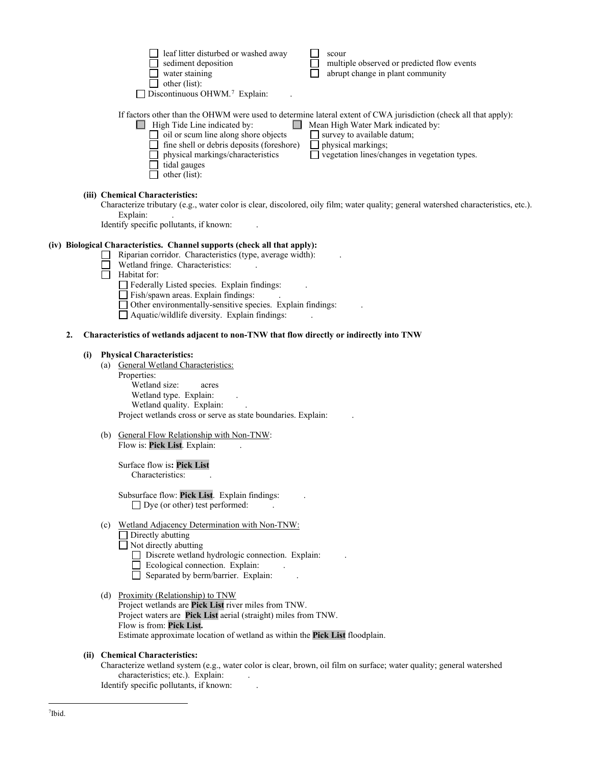|            | leaf litter disturbed or washed away<br>scour<br>sediment deposition<br>multiple observed or predicted flow events<br>water staining<br>abrupt change in plant community<br>other (list):<br>$\Box$ Discontinuous OHWM. <sup>7</sup> Explain:                                                                                                                                                                                                                          |
|------------|------------------------------------------------------------------------------------------------------------------------------------------------------------------------------------------------------------------------------------------------------------------------------------------------------------------------------------------------------------------------------------------------------------------------------------------------------------------------|
|            | If factors other than the OHWM were used to determine lateral extent of CWA jurisdiction (check all that apply):<br>$\Box$ High Tide Line indicated by:<br>Mean High Water Mark indicated by:<br>oil or scum line along shore objects<br>$\Box$ survey to available datum;<br>fine shell or debris deposits (foreshore)<br>physical markings;<br>□ vegetation lines/changes in vegetation types.<br>physical markings/characteristics<br>tidal gauges<br>other (list): |
|            | (iii) Chemical Characteristics:<br>Characterize tributary (e.g., water color is clear, discolored, oily film; water quality; general watershed characteristics, etc.).<br>Explain:<br>Identify specific pollutants, if known:                                                                                                                                                                                                                                          |
|            | (iv) Biological Characteristics. Channel supports (check all that apply):<br>Riparian corridor. Characteristics (type, average width):<br>Wetland fringe. Characteristics:<br>Habitat for:<br>Federally Listed species. Explain findings:<br>Fish/spawn areas. Explain findings:<br>□ Other environmentally-sensitive species. Explain findings:<br>$\Box$ Aquatic/wildlife diversity. Explain findings:                                                               |
| 2.         | Characteristics of wetlands adjacent to non-TNW that flow directly or indirectly into TNW                                                                                                                                                                                                                                                                                                                                                                              |
| (i)<br>(a) | <b>Physical Characteristics:</b><br>General Wetland Characteristics:                                                                                                                                                                                                                                                                                                                                                                                                   |
|            | Properties:<br>Wetland size:<br>acres<br>Wetland type. Explain:<br>Wetland quality. Explain:<br>Project wetlands cross or serve as state boundaries. Explain:                                                                                                                                                                                                                                                                                                          |
| (b)        | General Flow Relationship with Non-TNW:<br>Flow is: Pick List. Explain:                                                                                                                                                                                                                                                                                                                                                                                                |
|            | Surface flow is: Pick List<br>Characteristics:                                                                                                                                                                                                                                                                                                                                                                                                                         |
|            | Subsurface flow: Pick List. Explain findings:<br>$\Box$ Dye (or other) test performed:                                                                                                                                                                                                                                                                                                                                                                                 |
|            | (c) Wetland Adjacency Determination with Non-TNW:<br>$\Box$ Directly abutting<br>$\Box$ Not directly abutting<br>Discrete wetland hydrologic connection. Explain:<br>Ecological connection. Explain:<br>Separated by berm/barrier. Explain:                                                                                                                                                                                                                            |

Project wetlands are **Pick List** river miles from TNW. Project waters are **Pick List** aerial (straight) miles from TNW. Flow is from: **Pick List.** Estimate approximate location of wetland as within the **Pick List** floodplain.

# <span id="page-3-0"></span> **(ii) Chemical Characteristics:**

Characterize wetland system (e.g., water color is clear, brown, oil film on surface; water quality; general watershed characteristics; etc.). Explain:

Identify specific pollutants, if known: .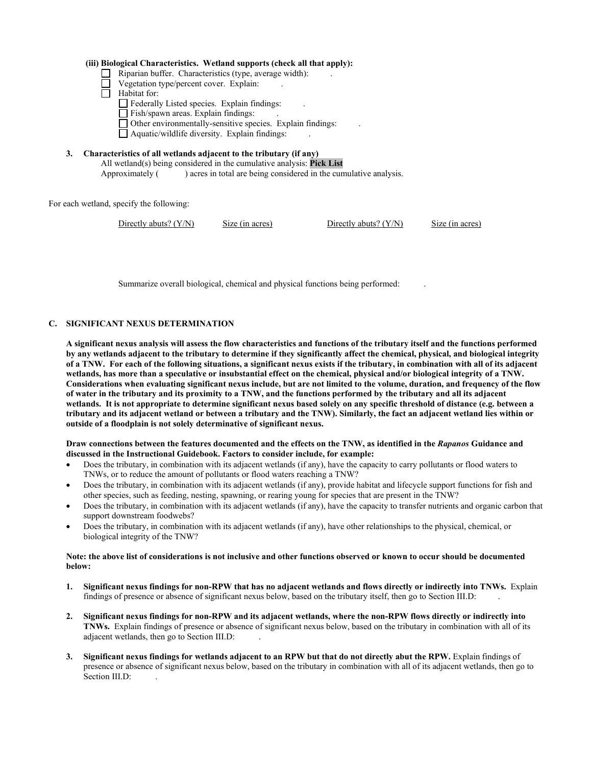#### **(iii) Biological Characteristics. Wetland supports (check all that apply):**

- $\Box$  Riparian buffer. Characteristics (type, average width):
- Vegetation type/percent cover. Explain: .
- $\Box$  Habitat for:
	- Federally Listed species. Explain findings: .
	- Fish/spawn areas. Explain findings:
	- $\Box$  Other environmentally-sensitive species. Explain findings:
	- $\Box$  Aquatic/wildlife diversity. Explain findings:
- **3. Characteristics of all wetlands adjacent to the tributary (if any)**  All wetland(s) being considered in the cumulative analysis: **Pick List** Approximately () acres in total are being considered in the cumulative analysis.

For each wetland, specify the following:

```
Directly abuts? (Y/N) Size (in acres) Directly abuts? (Y/N) Size (in acres)
```
Summarize overall biological, chemical and physical functions being performed: .

# **C. SIGNIFICANT NEXUS DETERMINATION**

**A significant nexus analysis will assess the flow characteristics and functions of the tributary itself and the functions performed by any wetlands adjacent to the tributary to determine if they significantly affect the chemical, physical, and biological integrity of a TNW. For each of the following situations, a significant nexus exists if the tributary, in combination with all of its adjacent wetlands, has more than a speculative or insubstantial effect on the chemical, physical and/or biological integrity of a TNW. Considerations when evaluating significant nexus include, but are not limited to the volume, duration, and frequency of the flow of water in the tributary and its proximity to a TNW, and the functions performed by the tributary and all its adjacent wetlands. It is not appropriate to determine significant nexus based solely on any specific threshold of distance (e.g. between a tributary and its adjacent wetland or between a tributary and the TNW). Similarly, the fact an adjacent wetland lies within or outside of a floodplain is not solely determinative of significant nexus.** 

## **Draw connections between the features documented and the effects on the TNW, as identified in the** *Rapanos* **Guidance and discussed in the Instructional Guidebook. Factors to consider include, for example:**

- Does the tributary, in combination with its adjacent wetlands (if any), have the capacity to carry pollutants or flood waters to TNWs, or to reduce the amount of pollutants or flood waters reaching a TNW?
- Does the tributary, in combination with its adjacent wetlands (if any), provide habitat and lifecycle support functions for fish and other species, such as feeding, nesting, spawning, or rearing young for species that are present in the TNW?
- Does the tributary, in combination with its adjacent wetlands (if any), have the capacity to transfer nutrients and organic carbon that support downstream foodwebs?
- Does the tributary, in combination with its adjacent wetlands (if any), have other relationships to the physical, chemical, or biological integrity of the TNW?

## **Note: the above list of considerations is not inclusive and other functions observed or known to occur should be documented below:**

- **1. Significant nexus findings for non-RPW that has no adjacent wetlands and flows directly or indirectly into TNWs.** Explain findings of presence or absence of significant nexus below, based on the tributary itself, then go to Section III.D: .
- **2. Significant nexus findings for non-RPW and its adjacent wetlands, where the non-RPW flows directly or indirectly into TNWs.** Explain findings of presence or absence of significant nexus below, based on the tributary in combination with all of its adjacent wetlands, then go to Section III.D: .
- **3. Significant nexus findings for wetlands adjacent to an RPW but that do not directly abut the RPW.** Explain findings of presence or absence of significant nexus below, based on the tributary in combination with all of its adjacent wetlands, then go to Section III.D: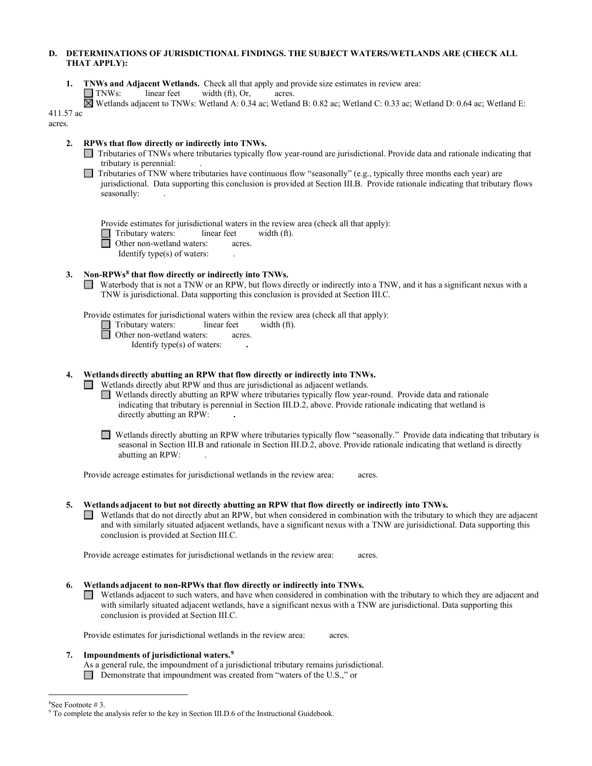## **D. DETERMINATIONS OF JURISDICTIONAL FINDINGS. THE SUBJECT WATERS/WETLANDS ARE (CHECK ALL THAT APPLY):**

- **1. TNWs and Adjacent Wetlands.** Check all that apply and provide size estimates in review area: **TNWs:** linear feet width (ft), Or, acres. Wetlands adjacent to TNWs: Wetland A: 0.34 ac; Wetland B: 0.82 ac; Wetland C: 0.33 ac; Wetland D: 0.64 ac; Wetland E: 411.57 ac acres. **2. RPWs that flow directly or indirectly into TNWs.**  Tributaries of TNWs where tributaries typically flow year-round are jurisdictional. Provide data and rationale indicating that tributary is perennial: .  $\Box$  Tributaries of TNW where tributaries have continuous flow "seasonally" (e.g., typically three months each year) are jurisdictional. Data supporting this conclusion is provided at Section III.B. Provide rationale indicating that tributary flows seasonally: Provide estimates for jurisdictional waters in the review area (check all that apply): Tributary waters:linear feetwidth (ft).Other non-wetland waters:acres. Identify type(s) of waters: .  **3. Non-RPWs[8](#page-5-0) that flow directly or indirectly into TNWs.** Waterbody that is not a TNW or an RPW, but flows directly or indirectly into a TNW, and it has a significant nexus with a TNW is jurisdictional. Data supporting this conclusion is provided at Section III.C. Provide estimates for jurisdictional waters within the review area (check all that apply): Tributary waters:linear feetwidth (ft).Other non-wetland waters:acres. Identify type(s) of waters: **. 4. Wetlands directly abutting an RPW that flow directly or indirectly into TNWs.** Wetlands directly abut RPW and thus are jurisdictional as adjacent wetlands. Wetlands directly abutting an RPW where tributaries typically flow year-round. Provide data and rationale indicating that tributary is perennial in Section III.D.2, above. Provide rationale indicating that wetland is directly abutting an RPW: **.** Wetlands directly abutting an RPW where tributaries typically flow "seasonally." Provide data indicating that tributary is seasonal in Section III.B and rationale in Section III.D.2, above. Provide rationale indicating that wetland is directly abutting an RPW: . Provide acreage estimates for jurisdictional wetlands in the review area:acres. **5. Wetlands adjacent to but not directly abutting an RPW that flow directly or indirectly into TNWs.**  Wetlands that do not directly abut an RPW, but when considered in combination with the tributary to which they are adjacent and with similarly situated adjacent wetlands, have a significant nexus with a TNW are jurisidictional. Data supporting this conclusion is provided at Section III.C. Provide acreage estimates for jurisdictional wetlands in the review area:acres.
	- **6. Wetlands adjacent to non-RPWs that flow directly or indirectly into TNWs.** Wetlands adjacent to such waters, and have when considered in combination with the tributary to which they are adjacent and with similarly situated adjacent wetlands, have a significant nexus with a TNW are jurisdictional. Data supporting this conclusion is provided at Section III.C.

Provide estimates for jurisdictional wetlands in the review area: acres.

## **7. Impoundments of jurisdictional waters. [9](#page-5-1)**

As a general rule, the impoundment of a jurisdictional tributary remains jurisdictional.

Demonstrate that impoundment was created from "waters of the U.S.," or

<sup>&</sup>lt;sup>8</sup>See Footnote #3.

<span id="page-5-1"></span><span id="page-5-0"></span> $9$  To complete the analysis refer to the key in Section III.D.6 of the Instructional Guidebook.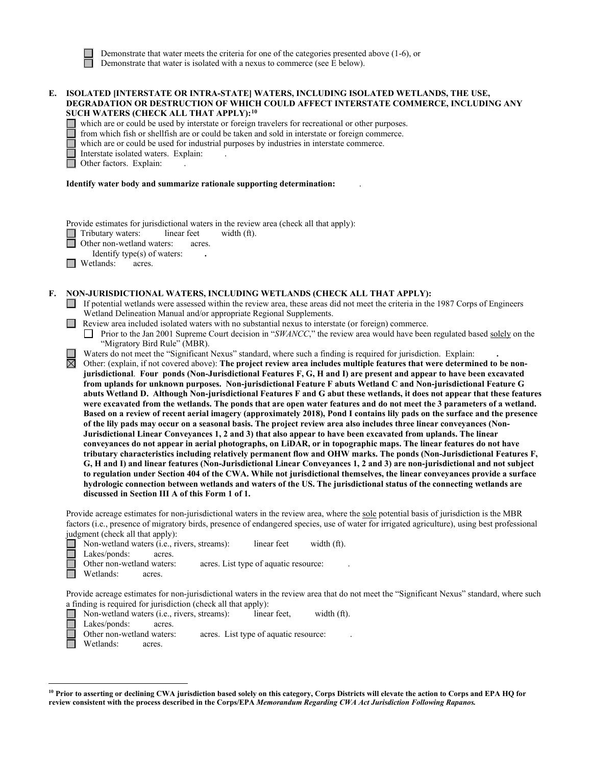Demonstrate that water meets the criteria for one of the categories presented above (1-6), or Demonstrate that water is isolated with a nexus to commerce (see E below).

## **E. ISOLATED [INTERSTATE OR INTRA-STATE] WATERS, INCLUDING ISOLATED WETLANDS, THE USE, DEGRADATION OR DESTRUCTION OF WHICH COULD AFFECT INTERSTATE COMMERCE, INCLUDING ANY SUCH WATERS (CHECK ALL THAT APPLY):[10](#page-6-0)**

which are or could be used by interstate or foreign travelers for recreational or other purposes.

from which fish or shellfish are or could be taken and sold in interstate or foreign commerce.

which are or could be used for industrial purposes by industries in interstate commerce.

Interstate isolated waters.Explain: .

Other factors. Explain:

#### **Identify water body and summarize rationale supporting determination:** .

Provide estimates for jurisdictional waters in the review area (check all that apply):

Tributary waters: linear feet width (ft).

Other non-wetland waters: acres.

Identify type(s) of waters: **.** 

□ Wetlands: acres.

## **F. NON-JURISDICTIONAL WATERS, INCLUDING WETLANDS (CHECK ALL THAT APPLY):**

- If potential wetlands were assessed within the review area, these areas did not meet the criteria in the 1987 Corps of Engineers Wetland Delineation Manual and/or appropriate Regional Supplements.
- **Review area included isolated waters with no substantial nexus to interstate (or foreign) commerce.**

Prior to the Jan 2001 Supreme Court decision in "*SWANCC*," the review area would have been regulated based solely on the "Migratory Bird Rule" (MBR).

Waters do not meet the "Significant Nexus" standard, where such a finding is required for jurisdiction. Explain:

Other: (explain, if not covered above): **The project review area includes multiple features that were determined to be nonjurisdictional**. **Four ponds (Non-Jurisdictional Features F, G, H and I) are present and appear to have been excavated from uplands for unknown purposes. Non-jurisdictional Feature F abuts Wetland C and Non-jurisdictional Feature G abuts Wetland D. Although Non-jurisdictional Features F and G abut these wetlands, it does not appear that these features were excavated from the wetlands. The ponds that are open water features and do not meet the 3 parameters of a wetland. Based on a review of recent aerial imagery (approximately 2018), Pond I contains lily pads on the surface and the presence of the lily pads may occur on a seasonal basis. The project review area also includes three linear conveyances (Non-Jurisdictional Linear Conveyances 1, 2 and 3) that also appear to have been excavated from uplands. The linear conveyances do not appear in aerial photographs, on LiDAR, or in topographic maps. The linear features do not have tributary characteristics including relatively permanent flow and OHW marks. The ponds (Non-Jurisdictional Features F, G, H and I) and linear features (Non-Jurisdictional Linear Conveyances 1, 2 and 3) are non-jurisdictional and not subject to regulation under Section 404 of the CWA. While not jurisdictional themselves, the linear conveyances provide a surface hydrologic connection between wetlands and waters of the US. The jurisdictional status of the connecting wetlands are discussed in Section III A of this Form 1 of 1.**

Provide acreage estimates for non-jurisdictional waters in the review area, where the sole potential basis of jurisdiction is the MBR factors (i.e., presence of migratory birds, presence of endangered species, use of water for irrigated agriculture), using best professional judgment (check all that apply):

Non-wetland waters (i.e., rivers, streams):linear feetwidth (ft).

Lakes/ponds: acres.

Other non-wetland waters: acres. List type of aquatic resource:

Wetlands: acres.

Provide acreage estimates for non-jurisdictional waters in the review area that do not meet the "Significant Nexus" standard, where such a finding is required for jurisdiction (check all that apply):

- Non-wetland waters (i.e., rivers, streams):linear feet,width (ft).
- Lakes/ponds:
- Other non-wetland waters: acres. List type of aquatic resource:
- Wetlands: acres.

<span id="page-6-0"></span>**<sup>10</sup> Prior to asserting or declining CWA jurisdiction based solely on this category, Corps Districts will elevate the action to Corps and EPA HQ for review consistent with the process described in the Corps/EPA** *Memorandum Regarding CWA Act Jurisdiction Following Rapanos.*